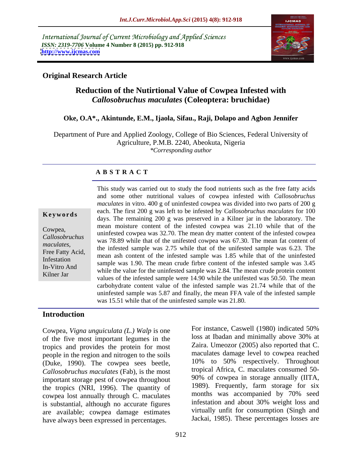International Journal of Current Microbiology and Applied Sciences *ISSN: 2319-7706* **Volume 4 Number 8 (2015) pp. 912-918 <http://www.ijcmas.com>**



## **Original Research Article**

# **Reduction of the Nutirtional Value of Cowpea Infested with**  *Callosobruchus maculates* **(Coleoptera: bruchidae)**

#### **Oke, O.A\*., Akintunde, E.M., Ijaola, Sifau., Raji, Dolapo and Agbon Jennifer**

Department of Pure and Applied Zoology, College of Bio Sciences, Federal University of Agriculture, P.M.B. 2240, Abeokuta, Nigeria *\*Corresponding author*

#### **A B S T R A C T**

Kilner Jar

This study was carried out to study the food nutrients such as the free fatty acids and some other nutritional values of cowpea infested with *Callosobruchus maculates* in vitro. 400 g of uninfested cowpea was divided into two parts of 200 g each. The first 200 g was left to be infested by *Callosobruchus maculates* for 100 **Keywords** days. The remaining 200 g was preserved in a Kilner jar in the laboratory. The days. The remaining 200 g was preserved in a Kilner jar in the laboratory. mean moisture content of the infested cowpea was 21.10 while that of the Cowpea,<br>Callegebruaking uninfested cowpea was 32.70. The mean dry matter content of the infested cowpea was 78.89 while that of the unifested cowpea was 67.30. The mean fat content of *Callosobruchus*  maculates,<br>
The infested sample was 2.75 while that of the unifested sample was 6.23. The<br>
Free Fatty Acid, and an extent of the infected sample was 1.85 while that of the unificated mean ash content of the infested sample was 1.85 while that of the uninfested Infestation<br>In Vitro And sample was 1.90. The mean crude firbre content of the infested sample was 3.45 In-Vitro And<br>While the value for the uninfested sample was 2.84. The mean crude protein content<br>Inter Islam by the value of the uninfested sample was 2.84. The mean crude protein content values of the infested sample were 14.90 while the unifested was 50.50. The mean carbohydrate content value of the infested sample was 21.74 while that of the uninfested sample was 5.87 and finally, the mean FFA vale of the infested sample was 15.51 while that of the uninfested sample was 21.80.

#### **Introduction**

Cowpea, *Vigna unguiculata (L.) Walp* is one of the five most important legumes in the tropics and provides the protein for most people in the region and nitrogen to the soils (Duke, 1990). The cowpea sees beetle, *Callosobruchus maculates* (Fab), is the most important storage pest of cowpea throughout the tropics (NRI, 1996). The quantity of 1989). Frequently, farm storage for six<br>cownea lost annually through C maculates months was accompanied by 70% seed cowpea lost annually through C. maculates is substantial, although no accurate figures are available; cowpea damage estimates have always been expressed in percentages.

For instance, Caswell (1980) indicated 50% loss at Ibadan and minimally above 30% at Zaira. Umeozor (2005) also reported that C. maculates damage level to cowpea reached 10% to 50% respectively. Throughout tropical Africa, C. maculates consumed 50- 90% of cowpea in storage annually (IITA, 1989). Frequently, farm storage for six months was accompanied by 70% seed infestation and about 30% weight loss and virtually unfit for consumption (Singh and Jackai, 1985). These percentages losses are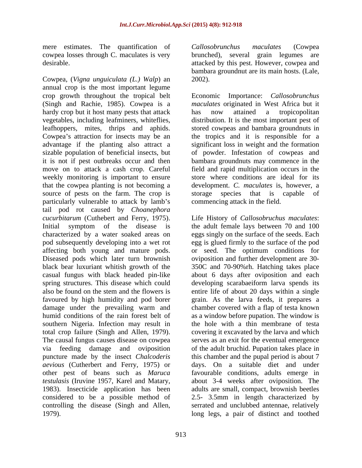mere estimates. The quantification of Callosobrunchus maculates (Cowpea cowpea losses through C. maculates is very

Cowpea, (*Vigna unguiculata (L.) Walp*) an annual crop is the most important legume crop growth throughout the tropical belt Economic Importance: *Callosobrunchus*  (Singh and Rachie, 1985). Cowpea is a *maculates* originated in West Africa but it hardy crop but it host many pests that attack has now attained a tropicopolitan vegetables, including leafminers, whiteflies, distribution. It is the most important pest of leafhoppers, mites, thrips and aphids. stored cowpeas and bambara groundnuts in Cowpea's attraction for insects may be an the tropics and it is responsible for a advantage if the planting also attract a significant loss in weight and the formation sizable population of beneficial insects, but of powder. Infestation of cowpeas and it is not if pest outbreaks occur and then bambara groundnuts may commence in the move on to attack a cash crop. Careful field and rapid multiplication occurs in the weekly monitoring is important to ensure that the cowpea planting is not becoming a source of pests on the farm. The crop is storage species that is capable of particularly vulnerable to attack by lamb's tail pod rot caused by *Choanephora cucurbitarum* (Cuthebert and Ferry,1975). Life History of *Callosobruchus maculates*: Initial symptom of the disease is the adult female lays between 70 and 100 characterized by a water soaked areas on eggs singly on the surface of the seeds. Each pod subsequently developing into a wet rot affecting both young and mature pods. Diseased pods which later turn brownish oviposition and further development are 30 black bear luxuriant whitish growth of the 350C and 70-90%rh. Hatching takes place casual fungus with black headed pin-like about 6 days after oviposition and each spring structures. This disease which could developing scarabaeiform larva spends its also be found on the stem and the flowers is entire life of about 20 days within a single favoured by high humidity and pod borer grain. As the larva feeds, it prepares a damage under the prevailing warm and chamber covered with a flap of testa known humid conditions of the rain forest belt of as a window before pupation. The window is southern Nigeria. Infection may result in total crop failure (Singh and Allen, 1979). covering it excavated by the larva and which The causal fungus causes disease on cowpea serves as an exit for the eventual emergence via feeding damage and oviposition of the adult bruchid. Pupation takes place in puncture made by the insect *Chalcoderis*  this chamber and the pupal period is about 7 *aevious* (Cutherbert and Ferry, 1975) or other pest of beans such as *Maruca*  favourable conditions, adults emerge in *testulasis* (Iruvine 1957, Karel and Matary, about 3-4 weeks after oviposition. The 1983). Insecticide application has been adults are small, compact, brownish beetles considered to be a possible method of 2.5- 3.5mm in length characterized by controlling the disease (Singh and Allen, 1979). long legs, a pair of distinct and toothed

desirable. attacked by this pest. However, cowpea and *Callosobrunchus maculates* (Cowpea brunched), several grain legumes are bambara groundnut are its main hosts. (Lale, 2002).

> has now attained a tropicopolitan store where conditions are ideal for its development. *C. maculates* is, however, a species that is capable commencing attack in the field.

egg is glued firmly to the surface of the pod or seed. The optimum conditions for the hole with a thin membrane of testa days. On a suitable diet and under serrated and unclubbed antennae, relatively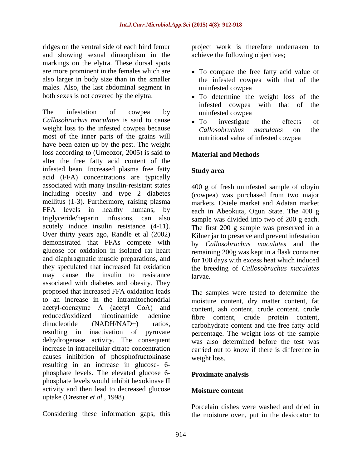ridges on the ventral side of each hind femur project work is therefore undertaken to and showing sexual dimorphism in the markings on the elytra. These dorsal spots are more prominent in the females which are To compare the free fatty acid value of also larger in body size than in the smaller the infested cowpea with that of the males. Also, the last abdominal segment in uninfested cowpea

The infestation of cowpea by uninfested cowpea *Callosobruchus maculates* is said to cause weight loss to the infested cowpea because Callosobruchus maculates on the most of the inner parts of the grains will have been eaten up by the pest. The weight loss according to (Umeozor, 2005) is said to **Material and Methods** alter the free fatty acid content of the infested bean. Increased plasma free fatty acid (FFA) concentrations are typically associated with many insulin-resistant states including obesity and type 2 diabetes (cowpea) was purchased from two major mellitus (1-3). Furthermore, raising plasma FFA levels in healthy humans, by each in Abeokuta, Ogun State. The 400 g triglyceride/heparin infusions, can also sample was divided into two of 200 g each. acutely induce insulin resistance (4-11). The first 200 g sample was preserved in a Over thirty years ago, Randle et al (2002) Kilner jar to preserve and prevent infestation demonstrated that FFAs compete with by *Callosobruchus maculates* and the glucose for oxidation in isolated rat heart remaining 200g was kept in a flask container and diaphragmatic muscle preparations, and for 100 days with excess heat which induced they speculated that increased fat oxidation the breeding of *Callosobruchus maculates* may cause the insulin to resistance a larvae. associated with diabetes and obesity. They proposed that increased FFA oxidation leads The samples were tested to determine the to an increase in the intramitochondrial moisture content, dry matter content, fat acetyl-coenzyme A (acetyl CoA) and content, ash content, crude content, crude reduced/oxidized nicotinamide adenine fibre content, crude protein content, dinucleotide (NADH/NAD+) ratios, carbohydrate content and the free fatty acid resulting in inactivation of pyruvate percentage. The weight loss of the sample dehydrogenase activity. The consequent was also determined before the test was increase in intracellular citrate concentration carried out to know if there is difference in causes inhibition of phosphofructokinase resulting in an increase in glucose- 6 phosphate levels. The elevated glucose 6 phosphate levels would inhibit hexokinase II activity and then lead to decreased glucose **Moisture content** uptake (Dresner *et al*., 1998).

achieve the following objectives;

- uninfested cowpea
- both sexes is not covered by the elytra.  $\bullet$  To determine the weight loss of the infested cowpea with that of the uninfested cowpea
	- To investigate the effects of *Callosobruchus maculates* on the nutritional value of infested cowpea

## **Material and Methods**

## **Study area**

400 g of fresh uninfested sample of oloyin markets, Osiele market and Adatan market larvae.

weight loss.

## **Proximate analysis**

## **Moisture content**

Considering these information gaps, this the moisture oven, put in the desiccator toPorcelain dishes were washed and dried in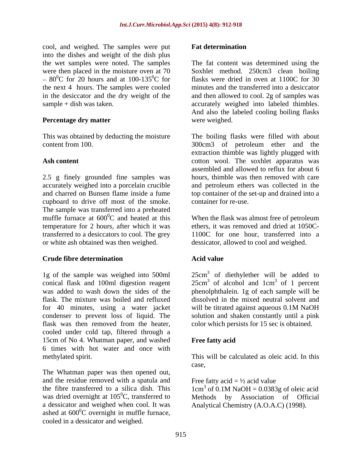cool, and weighed. The samples were put into the dishes and weight of the dish plus  $-80^{\circ}$ C for 20 hours and at 100-135<sup>o</sup>C for flasks were dried in oven at 1100C for 30 the next 4 hours. The samples were cooled

#### **Percentage dry matter**

2.5 g finely grounded fine samples was accurately weighed into a porcelain crucible cupboard to drive off most of the smoke. The sample was transferred into a preheated muffle furnace at  $600^{\circ}$ C and heated at this When the flask was almost free of petroleum temperature for 2 hours, after which it was transferred to a desiccators to cool. The grey 1100C for one hour, transferred into a or white ash obtained was then weighed. dessicator, allowed to cool and weighed.

## **Crude fibre determination**

conical flask and 100ml digestion reagent  $25 \text{cm}^3$  of alcohol and  $1 \text{cm}^3$  of 1 percent was added to wash down the sides of the phenolphthalein. 1g of each sample will be flask. The mixture was boiled and refluxed dissolved in the mixed neutral solvent and for 40 minutes, using a water jacket condenser to prevent loss of liquid. The solution and shaken constantly until a pink flask was then removed from the heater, cooled under cold tap, filtered through a 15cm of No 4. Whatman paper, and washed **Free fatty acid** 6 times with hot water and once with

The Whatman paper was then opened out, and the residue removed with a spatula and the fibre transferred to a silica dish. This  $1 \text{ cm}^3$  of 0.1M NaOH = 0.0383g of oleic acid was dried overnight at  $105^{\circ}$ C, transferred to a dessicator and weighed when cool. It was Analytical Chemistry (A.O.A.C) (1998).ashed at  $600^{\circ}$ C overnight in muffle furnace,  ${}^{0}C$  overnight in muffle furnace, cooled in a dessicator and weighed.

#### **Fat determination**

the wet samples were noted. The samples The fat content was determined using the were then placed in the moisture oven at 70 Soxhlet method. 250cm3 clean boiling  ${}^{0}C$  for 20 hours and at 100-135 ${}^{0}C$  for flasks were dried in oven at 1100C for 30 in the desiccator and the dry weight of the and then allowed to cool. 2g of samples was sample + dish was taken. accurately weighed into labeled thimbles. flasks were dried in oven at 1100C for 30 minutes and the transferred into a desiccator And also the labeled cooling boiling flasks were weighed.

This was obtained by deducting the moisture The boiling flasks were filled with about content from 100. 300cm3 of petroleum ether and the Ash content **Ash content Content** cotton wool. The soxhlet apparatus was and charred on Bunsen flame inside a fume top container of the set-up and drained into a extraction thimble was lightly plugged with assembled and allowed to reflux for about 6 hours, thimble was then removed with care and petroleum ethers was collected in the container for re-use.

ethers, it was removed and dried at 1050C-

## **Acid value**

1g of the sample was weighed into 500ml 25cm<sup>3</sup> of diethylether will be added to of alcohol and  $1 \text{ cm}^3$  of 1 percent  $3 \text{ of } 1$  parcent of 1 percent will be titrated against aqueous 0.1M NaOH color which persists for 15 sec is obtained.

## **Free fatty acid**

methylated spirit. This will be calculated as oleic acid. In this case,

Free fatty acid =  $\frac{1}{2}$  acid value

 ${}^{0}C$ , transferred to Methods by Association of Official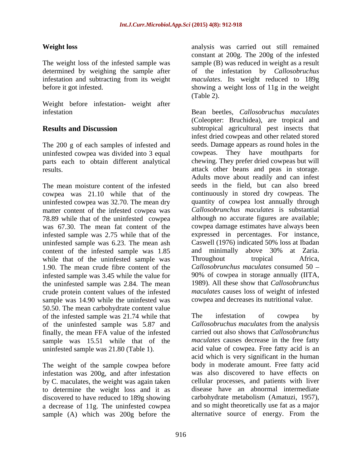Weight before infestation- weight after

The 200 g of each samples of infested and seeds. Dauninfested cowpea was divided into 3 equal cowpeas. uninfested cowpea was divided into 3 equal cowpeas. They have mouthparts for parts each to obtain different analytical

The mean moisture content of the infested cowpea was 21.10 while that of the uninfested cowpea was 32.70. The mean dry matter content of the infested cowpea was 78.89 while that of the uninfested cowpea was 67.30. The mean fat content of the cowpea damage estimates have always been infested sample was 2.75 while that of the expressed in percentages. For instance, uninfested sample was 6.23. The mean ash Caswell (1976) indicated 50% loss at Ibadan content of the infested sample was 1.85 and minim<br>while that of the uninfested sample was Throughout while that of the uninfested sample was Throughout tropical Africa, 1.90. The mean crude fibre content of the infested sample was 3.45 while the value for 90% of cowpea in storage annually (IITA, the uninfested sample was 2.84. The mean crude protein content values of the infested sample was 14.90 while the uninfested was 50.50. The mean carbohydrate content value of the infested sample was 21.74 while that The infestation of cowpea by of the uninfested sample was 5.87 and finally, the mean FFA value of the infested sample was 15.51 while that of the uninfested sample was 21.80 (Table 1). acid value of cowpea. Free fatty acid is an

The weight of the sample cowpea before infestation was 200g, and after infestation by C. maculates, the weight was again taken to determine the weight loss and it as discovered to have reduced to 189g showing a decrease of 11g. The uninfested cowpea and so might theoretically use fat as a major<br>sample (A) which was 200g before the alternative source of energy. From the sample (A) which was 200g before the

**Weight loss** analysis was carried out still remained The weight loss of the infested sample was sample (B) was reduced in weight as a result determined by weighing the sampleafter of the infestation by *Callosobruchus*  infestation and subtracting from its weight *maculates*. Its weight reduced to 189g before it got infested. showing a weight loss of 11g in the weight constant at 200g. The 200g of the infested (Table 2).

infestation Bean beetles, *Callosobruchus maculates* **Results and Discussion subtropical agricultural pest insects that** results. attack other beans and peas in storage. (Coleopter: Bruchidea), are tropical and infest dried cowpeas and other related stored seeds. Damage appears as round holes in the They have mouthparts chewing. They prefer dried cowpeas but will Adults move about readily and can infest seeds in the field, but can also breed continuously in stored dry cowpeas. The quantity of cowpea lost annually through *Callosobrunchus maculates* is substantial although no accurate figures are available; Caswell (1976) indicated 50% loss at Ibadan and minimally above 30% at Zaria. Throughout tropical Africa, *Callosobrunchus maculates* consumed 50 1989). All these show that *Callosobrunchus maculates* causes loss of weight of infested cowpea and decreases its nutritional value.

> The infestation of cowpea by *Callosobruchus maculates* from the analysis carried out also shows that *Callosobrunchus maculates* causes decrease in the free fatty acid which is very significant in the human body in moderate amount. Free fatty acid was also discovered to have effects on cellular processes, and patients with liver disease have an abnormal intermediate carbohydrate metabolism (Amatuzi, 1957), and so might theoretically use fat as a major alternative source of energy. From the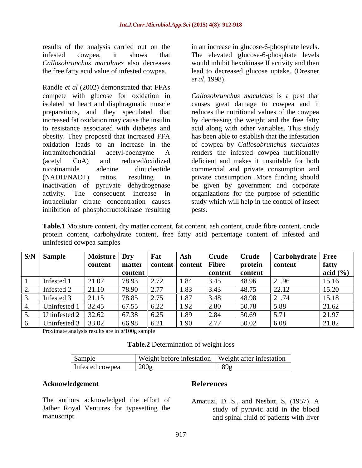results of the analysis carried out on the in an increase in glucose-6-phosphate levels. infested cowpea, it shows that The elevated glucose-6-phosphate levels *Callosobrunchus maculates* also decreases would inhibit hexokinase II activity and then

Randle *et al* (2002) demonstrated that FFAs compete with glucose for oxidation in *Callosobrunchus maculates* is a pest that isolated rat heart and diaphragmatic muscle causes great damage to cowpea and it preparations, and they speculated that reduces the nutritional values of the cowpea increased fat oxidation may cause the insulin by decreasing the weight and the free fatty to resistance associated with diabetes and acid along with other variables. This study obesity. They proposed that increased FFA oxidation leads to an increase in the of cowpeaby *Callosobrunchus maculates* intramitochondrial acetyl-coenzyme A renders the infested cowpea nutritionally (acetyl CoA) and reduced/oxidized deficient and makes it unsuitable for both nicotinamide adenine dinucleotide commercial and private consumption and (NADH/NAD+) ratios, resulting in private consumption. More funding should inactivation of pyruvate dehydrogenase be given by government and corporate activity. The consequent increase in organizations for the purpose of scientific intracellular citrate concentration causes study which will help in the control of insect inhibition of phosphofructokinase resulting

the free fatty acid value of infested cowpea. lead to decreased glucose uptake. (Dresner *et al*, 1998).

> has been able to establish that the infestation pests.

**Table.1** Moisture content, dry matter content, fat content, ash content, crude fibre content, crude protein content, carbohydrate content, free fatty acid percentage content of infested and uninfested cowpea samples

|    | <b>S/N</b> Sample | <b>Moisture</b> | $\mathbf{p}$ Drv | Fat                                           | Ash                       | Crude                         | <b>Crude</b> | Carbohydrate   Free |              |
|----|-------------------|-----------------|------------------|-----------------------------------------------|---------------------------|-------------------------------|--------------|---------------------|--------------|
|    |                   | content         | matter           |                                               | content   content   Fibre |                               | protein      | content             | fatty        |
|    |                   |                 | content          |                                               |                           | content                       | content      |                     | acid $(\% )$ |
|    | Infested 1        | 21.07           | 78.93            | $\sim$ $\sim$<br>$\angle .1\angle$            | 1.84                      | 3.45                          | 48.96        | 21.96               | 15.16        |
| ∼. | Infested 2        | 21.10           | 78.90            | $\sim$ $\pi$<br>$\mathcal{L}$ . $\mathcal{L}$ | 1.83                      | 3.43                          | 48.75        | 22.12               | 15.20        |
|    | Infested:         | 21.15           | 78.85            | $\Omega$ $\pi$ $\tau$<br>$\angle$ . 13        | 1.87                      | 3.48                          | 48.98        | 21.74               | 15.18        |
|    | Uninfested        | 32.45           | 67.55            | 6.22                                          | 1.92                      | 2.80                          | 50.78        | 5.88                | 21.62        |
|    | Uninfested 2      | 32.62           | 67.38            | 6.25                                          | 1.89                      | 2.84                          | 50.69        | 5.71                | 21.97        |
| v. | Uninfested 3      | 33.02           | 66.98            | 6.21                                          | 1.90                      | າ 77<br>$\sim \cdot$ $\prime$ | 50.02        | 6.08                | 21.82        |

Proximate analysis results are in g/100g sample

| rable.2<br>Determination of weight loss |  |
|-----------------------------------------|--|
|                                         |  |

| Sample          | T T T<br>Weight after infestation<br>Weight before infestation |
|-----------------|----------------------------------------------------------------|
| Infested cowpea | 200e<br>189g<br>$\sim$ $\vee$                                  |

#### **Acknowledgement**

## **References**

The authors acknowledged the effort of Jather Royal Ventures for typesetting the

manuscript. and spinal fluid of patients with liverAmatuzi, D. S., and Nesbitt, S, (1957). A study of pyruvic acid in the blood